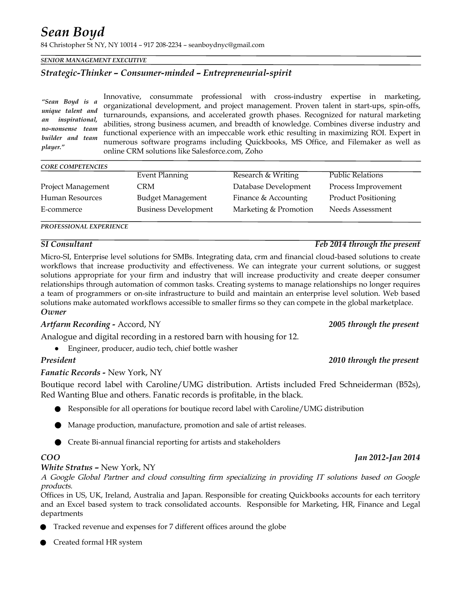# *Sean Boyd*

84 Christopher St NY, NY 10014 – 917 208-2234 – seanboydnyc@gmail.com

### *SENIOR MANAGEMENT EXECUTIVE*

# *Strategic-Thinker – Consumer-minded – Entrepreneurial-spirit*

Innovative, consummate professional with cross-industry expertise in marketing, organizational development, and project management. Proven talent in start-ups, spin-offs, turnarounds, expansions, and accelerated growth phases. Recognized for natural marketing abilities, strong business acumen, and breadth of knowledge. Combines diverse industry and functional experience with an impeccable work ethic resulting in maximizing ROI. Expert in numerous software programs including Quickbooks, MS Office, and Filemaker as well as online CRM solutions like Salesforce.com, Zoho *"Sean Boyd is a unique talent and an inspirational, no-nonsense team builder and team*

### *CORE COMPETENCIES*

*player."* 

|                    | Event Planning              | Research & Writing    | <b>Public Relations</b>    |
|--------------------|-----------------------------|-----------------------|----------------------------|
| Project Management | CRM                         | Database Development  | Process Improvement        |
| Human Resources    | <b>Budget Management</b>    | Finance & Accounting  | <b>Product Positioning</b> |
| E-commerce         | <b>Business Development</b> | Marketing & Promotion | Needs Assessment           |

### *PROFESSIONAL EXPERIENCE*

Micro-SI, Enterprise level solutions for SMBs. Integrating data, crm and financial cloud-based solutions to create workflows that increase productivity and effectiveness. We can integrate your current solutions, or suggest solutions appropriate for your firm and industry that will increase productivity and create deeper consumer relationships through automation of common tasks. Creating systems to manage relationships no longer requires a team of programmers or on-site infrastructure to build and maintain an enterprise level solution. Web based solutions make automated workflows accessible to smaller firms so they can compete in the global marketplace. *Owner*

### *Artfarm Recording -* Accord, NY *2005 through the present*

Analogue and digital recording in a restored barn with housing for 12.

● Engineer, producer, audio tech, chief bottle washer

### *Fanatic Records -* New York, NY

Boutique record label with Caroline/UMG distribution. Artists included Fred Schneiderman (B52s), Red Wanting Blue and others. Fanatic records is profitable, in the black.

- Responsible for all operations for boutique record label with Caroline/UMG distribution
- Manage production, manufacture, promotion and sale of artist releases.
- Create Bi-annual financial reporting for artists and stakeholders

### *White Stratus –* New York, NY

A Google Global Partner and cloud consulting firm specializing in providing IT solutions based on Google products.

Offices in US, UK, Ireland, Australia and Japan. Responsible for creating Quickbooks accounts for each territory and an Excel based system to track consolidated accounts. Responsible for Marketing, HR, Finance and Legal departments

- Tracked revenue and expenses for 7 different offices around the globe
- Created formal HR system

# *SI Consultant Feb 2014 through the present*

### *President 2010 through the present*

*COO Jan 2012-Jan 2014*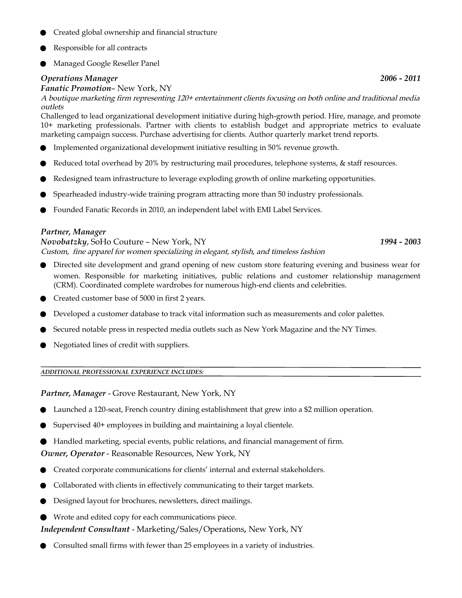- Created global ownership and financial structure
- Responsible for all contracts
- Managed Google Reseller Panel

## *Operations Manager 2006 - 2011*

## *Fanatic Promotion*– New York, NY

A boutique marketing firm representing 120+ entertainment clients focusing on both online and traditional media outlets

Challenged to lead organizational development initiative during high-growth period. Hire, manage, and promote 10+ marketing professionals. Partner with clients to establish budget and appropriate metrics to evaluate marketing campaign success. Purchase advertising for clients. Author quarterly market trend reports.

- Implemented organizational development initiative resulting in 50% revenue growth.
- Reduced total overhead by 20% by restructuring mail procedures, telephone systems, & staff resources.
- Redesigned team infrastructure to leverage exploding growth of online marketing opportunities.
- Spearheaded industry-wide training program attracting more than 50 industry professionals.
- Founded Fanatic Records in 2010, an independent label with EMI Label Services.

# *Partner, Manager*

*Novobatzky*, SoHo Couture – New York, NY *1994 - 2003* Custom, fine apparel for women specializing in elegant, stylish, and timeless fashion

- Directed site development and grand opening of new custom store featuring evening and business wear for women. Responsible for marketing initiatives, public relations and customer relationship management (CRM). Coordinated complete wardrobes for numerous high-end clients and celebrities.
- Created customer base of 5000 in first 2 years.
- Developed a customer database to track vital information such as measurements and color palettes.
- Secured notable press in respected media outlets such as New York Magazine and the NY Times.
- Negotiated lines of credit with suppliers.

### *ADDITIONAL PROFESSIONAL EXPERIENCE INCLUDES:*

*Partner, Manager* - Grove Restaurant, New York, NY

- Launched a 120-seat, French country dining establishment that grew into a \$2 million operation.
- Supervised 40+ employees in building and maintaining a loyal clientele.
- Handled marketing, special events, public relations, and financial management of firm.

# *Owner, Operator* - Reasonable Resources, New York, NY

- Created corporate communications for clients' internal and external stakeholders.
- Collaborated with clients in effectively communicating to their target markets.
- Designed layout for brochures, newsletters, direct mailings.
- Wrote and edited copy for each communications piece.

# *Independent Consultant* - Marketing/Sales/Operations*,* New York, NY

Consulted small firms with fewer than 25 employees in a variety of industries.